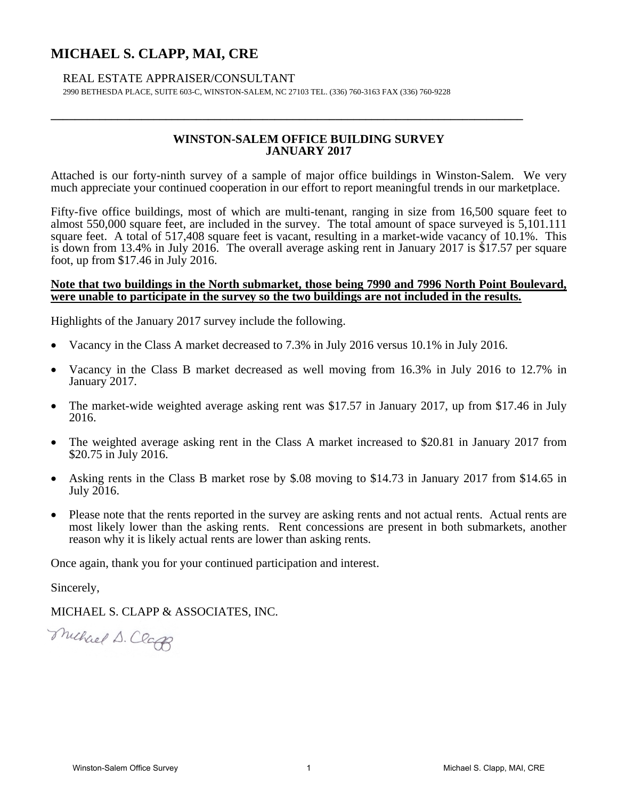# **MICHAEL S. CLAPP, MAI, CRE**

# REAL ESTATE APPRAISER/CONSULTANT

2990 BETHESDA PLACE, SUITE 603-C, WINSTON-SALEM, NC 27103 TEL. (336) 760-3163 FAX (336) 760-9228

# **WINSTON-SALEM OFFICE BUILDING SURVEY JANUARY 2017**

**\_\_\_\_\_\_\_\_\_\_\_\_\_\_\_\_\_\_\_\_\_\_\_\_\_\_\_\_\_\_\_\_\_\_\_\_\_\_\_\_\_\_\_\_\_\_\_\_\_\_\_\_\_\_\_\_\_\_\_\_\_\_\_\_\_\_\_\_\_\_\_\_\_\_\_\_\_\_** 

Attached is our forty-ninth survey of a sample of major office buildings in Winston-Salem. We very much appreciate your continued cooperation in our effort to report meaningful trends in our marketplace.

Fifty-five office buildings, most of which are multi-tenant, ranging in size from 16,500 square feet to almost 550,000 square feet, are included in the survey. The total amount of space surveyed is 5,101.111 square feet. A total of 517,408 square feet is vacant, resulting in a market-wide vacancy of 10.1%. This is down from 13.4% in July 2016. The overall average asking rent in January 2017 is \$17.57 per square foot, up from \$17.46 in July 2016.

#### **Note that two buildings in the North submarket, those being 7990 and 7996 North Point Boulevard, were unable to participate in the survey so the two buildings are not included in the results.**

Highlights of the January 2017 survey include the following.

- Vacancy in the Class A market decreased to 7.3% in July 2016 versus 10.1% in July 2016.
- Vacancy in the Class B market decreased as well moving from 16.3% in July 2016 to 12.7% in January 2017.
- The market-wide weighted average asking rent was \$17.57 in January 2017, up from \$17.46 in July 2016.
- The weighted average asking rent in the Class A market increased to \$20.81 in January 2017 from \$20.75 in July 2016.
- Asking rents in the Class B market rose by \$.08 moving to \$14.73 in January 2017 from \$14.65 in July 2016.
- Please note that the rents reported in the survey are asking rents and not actual rents. Actual rents are most likely lower than the asking rents. Rent concessions are present in both submarkets, another reason why it is likely actual rents are lower than asking rents.

Once again, thank you for your continued participation and interest.

Sincerely,

MICHAEL S. CLAPP & ASSOCIATES, INC.

Michael D. Class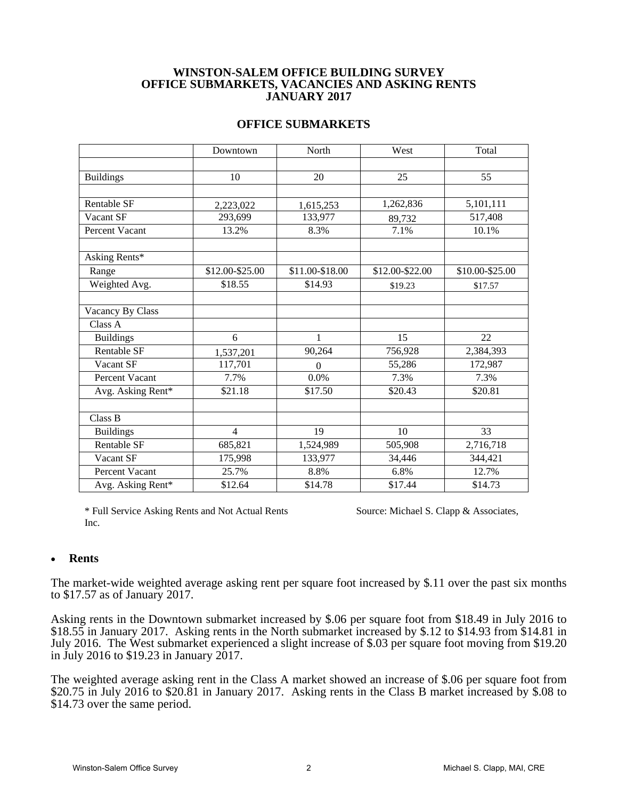## **WINSTON-SALEM OFFICE BUILDING SURVEY OFFICE SUBMARKETS, VACANCIES AND ASKING RENTS JANUARY 2017**

| <b>OFFICE SUBMARKETS</b> |  |  |
|--------------------------|--|--|
|--------------------------|--|--|

|                    | Downtown        | North           | West            | Total           |  |
|--------------------|-----------------|-----------------|-----------------|-----------------|--|
|                    |                 |                 |                 |                 |  |
| <b>Buildings</b>   | 10              | 20              | 25              | 55              |  |
|                    |                 |                 |                 |                 |  |
| Rentable SF        | 2,223,022       | 1,615,253       | 1,262,836       | 5,101,111       |  |
| Vacant SF          | 293,699         | 133,977         | 89,732          | 517,408         |  |
| Percent Vacant     | 13.2%           | 8.3%            | 7.1%            | 10.1%           |  |
|                    |                 |                 |                 |                 |  |
| Asking Rents*      |                 |                 |                 |                 |  |
| Range              | \$12.00-\$25.00 | \$11.00-\$18.00 | \$12.00-\$22.00 | \$10.00-\$25.00 |  |
| Weighted Avg.      | \$18.55         | \$14.93         | \$19.23         | \$17.57         |  |
|                    |                 |                 |                 |                 |  |
| Vacancy By Class   |                 |                 |                 |                 |  |
| Class A            |                 |                 |                 |                 |  |
| <b>Buildings</b>   | 6               | 1               | 15              | 22              |  |
| Rentable SF        | 1,537,201       | 90,264          | 756,928         | 2,384,393       |  |
| Vacant SF          | 117,701         | $\Omega$        | 55,286          | 172,987         |  |
| Percent Vacant     | 7.7%            | 0.0%            | 7.3%            | 7.3%            |  |
| Avg. Asking Rent*  | \$21.18         | \$17.50         | \$20.43         | \$20.81         |  |
|                    |                 |                 |                 |                 |  |
| Class B            |                 |                 |                 |                 |  |
| <b>Buildings</b>   | $\overline{4}$  | 19              | 10              | 33              |  |
| <b>Rentable SF</b> | 685,821         | 1,524,989       | 505,908         | 2,716,718       |  |
| Vacant SF          | 175,998         | 133,977         | 34,446          | 344,421         |  |
| Percent Vacant     | 25.7%           | 8.8%            | 6.8%            | 12.7%           |  |
| Avg. Asking Rent*  | \$12.64         | \$14.78         | \$17.44         | \$14.73         |  |

\* Full Service Asking Rents and Not Actual Rents Source: Michael S. Clapp & Associates, Inc.

#### **Rents**

The market-wide weighted average asking rent per square foot increased by \$.11 over the past six months to \$17.57 as of January 2017.

Asking rents in the Downtown submarket increased by \$.06 per square foot from \$18.49 in July 2016 to \$18.55 in January 2017. Asking rents in the North submarket increased by \$.12 to \$14.93 from \$14.81 in July 2016. The West submarket experienced a slight increase of \$.03 per square foot moving from \$19.20 in July 2016 to  $$19.23$  in January 2017.

The weighted average asking rent in the Class A market showed an increase of \$.06 per square foot from \$20.75 in July 2016 to \$20.81 in January 2017. Asking rents in the Class B market increased by \$.08 to \$14.73 over the same period.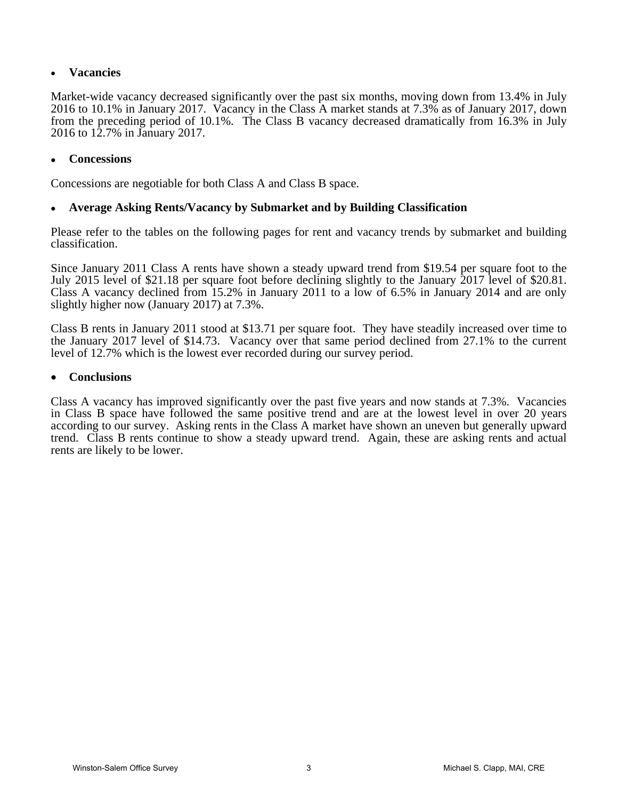# **Vacancies**

Market-wide vacancy decreased significantly over the past six months, moving down from 13.4% in July 2016 to 10.1% in January 2017. Vacancy in the Class A market stands at 7.3% as of January 2017, down from the preceding period of 10.1%. The Class B vacancy decreased dramatically from 16.3% in July 2016 to 12.7% in January 2017.

## **Concessions**

Concessions are negotiable for both Class A and Class B space.

# **Average Asking Rents/Vacancy by Submarket and by Building Classification**

Please refer to the tables on the following pages for rent and vacancy trends by submarket and building classification.

Since January 2011 Class A rents have shown a steady upward trend from \$19.54 per square foot to the July 2015 level of \$21.18 per square foot before declining slightly to the January 2017 level of \$20.81. Class A vacancy declined from 15.2% in January 2011 to a low of 6.5% in January 2014 and are only slightly higher now (January 2017) at 7.3%.

Class B rents in January 2011 stood at \$13.71 per square foot. They have steadily increased over time to the January 2017 level of \$14.73. Vacancy over that same period declined from 27.1% to the current level of 12.7% which is the lowest ever recorded during our survey period.

#### **Conclusions**

Class A vacancy has improved significantly over the past five years and now stands at 7.3%. Vacancies in Class B space have followed the same positive trend and are at the lowest level in over 20 years according to our survey. Asking rents in the Class A market have shown an uneven but generally upward trend. Class B rents continue to show a steady upward trend. Again, these are asking rents and actual rents are likely to be lower.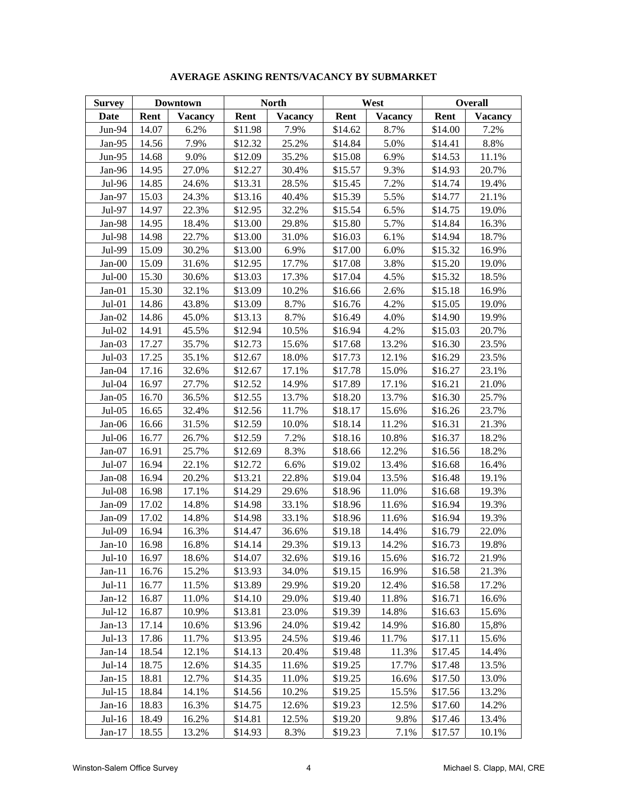| <b>Survey</b> |       | Downtown       |         | <b>North</b>   |         | West           |         | <b>Overall</b> |  |
|---------------|-------|----------------|---------|----------------|---------|----------------|---------|----------------|--|
| Date          | Rent  | <b>Vacancy</b> | Rent    | <b>Vacancy</b> | Rent    | <b>Vacancy</b> | Rent    | <b>Vacancy</b> |  |
| Jun-94        | 14.07 | 6.2%           | \$11.98 | 7.9%           | \$14.62 | 8.7%           | \$14.00 | 7.2%           |  |
| Jan-95        | 14.56 | 7.9%           | \$12.32 | 25.2%          | \$14.84 | 5.0%           | \$14.41 | 8.8%           |  |
| $Jun-95$      | 14.68 | 9.0%           | \$12.09 | 35.2%          | \$15.08 | 6.9%           | \$14.53 | 11.1%          |  |
| Jan-96        | 14.95 | 27.0%          | \$12.27 | 30.4%          | \$15.57 | 9.3%           | \$14.93 | 20.7%          |  |
| Jul-96        | 14.85 | 24.6%          | \$13.31 | 28.5%          | \$15.45 | 7.2%           | \$14.74 | 19.4%          |  |
| Jan-97        | 15.03 | 24.3%          | \$13.16 | 40.4%          | \$15.39 | 5.5%           | \$14.77 | 21.1%          |  |
| Jul-97        | 14.97 | 22.3%          | \$12.95 | 32.2%          | \$15.54 | 6.5%           | \$14.75 | 19.0%          |  |
| Jan-98        | 14.95 | 18.4%          | \$13.00 | 29.8%          | \$15.80 | 5.7%           | \$14.84 | 16.3%          |  |
| Jul-98        | 14.98 | 22.7%          | \$13.00 | 31.0%          | \$16.03 | 6.1%           | \$14.94 | 18.7%          |  |
| Jul-99        | 15.09 | 30.2%          | \$13.00 | 6.9%           | \$17.00 | 6.0%           | \$15.32 | 16.9%          |  |
| $Jan-00$      | 15.09 | 31.6%          | \$12.95 | 17.7%          | \$17.08 | 3.8%           | \$15.20 | 19.0%          |  |
| $Jul-00$      | 15.30 | 30.6%          | \$13.03 | 17.3%          | \$17.04 | 4.5%           | \$15.32 | 18.5%          |  |
| $Jan-01$      | 15.30 | 32.1%          | \$13.09 | 10.2%          | \$16.66 | 2.6%           | \$15.18 | 16.9%          |  |
| $Jul-01$      | 14.86 | 43.8%          | \$13.09 | 8.7%           | \$16.76 | 4.2%           | \$15.05 | 19.0%          |  |
| $Jan-02$      | 14.86 | 45.0%          | \$13.13 | 8.7%           | \$16.49 | 4.0%           | \$14.90 | 19.9%          |  |
| $Jul-02$      | 14.91 | 45.5%          | \$12.94 | 10.5%          | \$16.94 | 4.2%           | \$15.03 | 20.7%          |  |
| $Jan-03$      | 17.27 | 35.7%          | \$12.73 | 15.6%          | \$17.68 | 13.2%          | \$16.30 | 23.5%          |  |
| $Jul-03$      | 17.25 | 35.1%          | \$12.67 | 18.0%          | \$17.73 | 12.1%          | \$16.29 | 23.5%          |  |
| Jan-04        | 17.16 | 32.6%          | \$12.67 | 17.1%          | \$17.78 | 15.0%          | \$16.27 | 23.1%          |  |
| Jul-04        | 16.97 | 27.7%          | \$12.52 | 14.9%          | \$17.89 | 17.1%          | \$16.21 | 21.0%          |  |
| $Jan-05$      | 16.70 | 36.5%          | \$12.55 | 13.7%          | \$18.20 | 13.7%          | \$16.30 | 25.7%          |  |
| $Jul-05$      | 16.65 | 32.4%          | \$12.56 | 11.7%          | \$18.17 | 15.6%          | \$16.26 | 23.7%          |  |
| $Jan-06$      | 16.66 | 31.5%          | \$12.59 | 10.0%          | \$18.14 | 11.2%          | \$16.31 | 21.3%          |  |
| $Jul-06$      | 16.77 | 26.7%          | \$12.59 | 7.2%           | \$18.16 | 10.8%          | \$16.37 | 18.2%          |  |
| Jan-07        | 16.91 | 25.7%          | \$12.69 | 8.3%           | \$18.66 | 12.2%          | \$16.56 | 18.2%          |  |
| Jul-07        | 16.94 | 22.1%          | \$12.72 | 6.6%           | \$19.02 | 13.4%          | \$16.68 | 16.4%          |  |
| $Jan-08$      | 16.94 | 20.2%          | \$13.21 | 22.8%          | \$19.04 | 13.5%          | \$16.48 | 19.1%          |  |
| Jul-08        | 16.98 | 17.1%          | \$14.29 | 29.6%          | \$18.96 | 11.0%          | \$16.68 | 19.3%          |  |
| Jan-09        | 17.02 | 14.8%          | \$14.98 | 33.1%          | \$18.96 | 11.6%          | \$16.94 | 19.3%          |  |
| Jan-09        | 17.02 | 14.8%          | \$14.98 | 33.1%          | \$18.96 | 11.6%          | \$16.94 | 19.3%          |  |
| $Jul-09$      | 16.94 | 16.3%          | \$14.47 | 36.6%          | \$19.18 | 14.4%          | \$16.79 | 22.0%          |  |
| $Jan-10$      | 16.98 | 16.8%          | \$14.14 | 29.3%          | \$19.13 | 14.2%          | \$16.73 | 19.8%          |  |
| $Jul-10$      | 16.97 | 18.6%          | \$14.07 | 32.6%          | \$19.16 | 15.6%          | \$16.72 | 21.9%          |  |
| $Jan-11$      | 16.76 | 15.2%          | \$13.93 | 34.0%          | \$19.15 | 16.9%          | \$16.58 | 21.3%          |  |
| $Jul-11$      | 16.77 | 11.5%          | \$13.89 | 29.9%          | \$19.20 | 12.4%          | \$16.58 | 17.2%          |  |
| $Jan-12$      | 16.87 | 11.0%          | \$14.10 | 29.0%          | \$19.40 | 11.8%          | \$16.71 | 16.6%          |  |
| $Jul-12$      | 16.87 | 10.9%          | \$13.81 | 23.0%          | \$19.39 | 14.8%          | \$16.63 | 15.6%          |  |
| $Jan-13$      | 17.14 | 10.6%          | \$13.96 | 24.0%          | \$19.42 | 14.9%          | \$16.80 | 15,8%          |  |
| $Jul-13$      | 17.86 | 11.7%          | \$13.95 | 24.5%          | \$19.46 | 11.7%          | \$17.11 | 15.6%          |  |
| $Jan-14$      | 18.54 | 12.1%          | \$14.13 | 20.4%          | \$19.48 | 11.3%          | \$17.45 | 14.4%          |  |
| $Jul-14$      | 18.75 | 12.6%          | \$14.35 | 11.6%          | \$19.25 | 17.7%          | \$17.48 | 13.5%          |  |
| $Jan-15$      | 18.81 | 12.7%          | \$14.35 | 11.0%          | \$19.25 | 16.6%          | \$17.50 | 13.0%          |  |
| $Jul-15$      | 18.84 | 14.1%          | \$14.56 | 10.2%          | \$19.25 | 15.5%          | \$17.56 | 13.2%          |  |
| $Jan-16$      | 18.83 | 16.3%          | \$14.75 | 12.6%          | \$19.23 | 12.5%          | \$17.60 | 14.2%          |  |
| $Jul-16$      | 18.49 | 16.2%          | \$14.81 | 12.5%          | \$19.20 | 9.8%           | \$17.46 | 13.4%          |  |
| $Jan-17$      | 18.55 | 13.2%          | \$14.93 | 8.3%           | \$19.23 | 7.1%           | \$17.57 | 10.1%          |  |

### **AVERAGE ASKING RENTS/VACANCY BY SUBMARKET**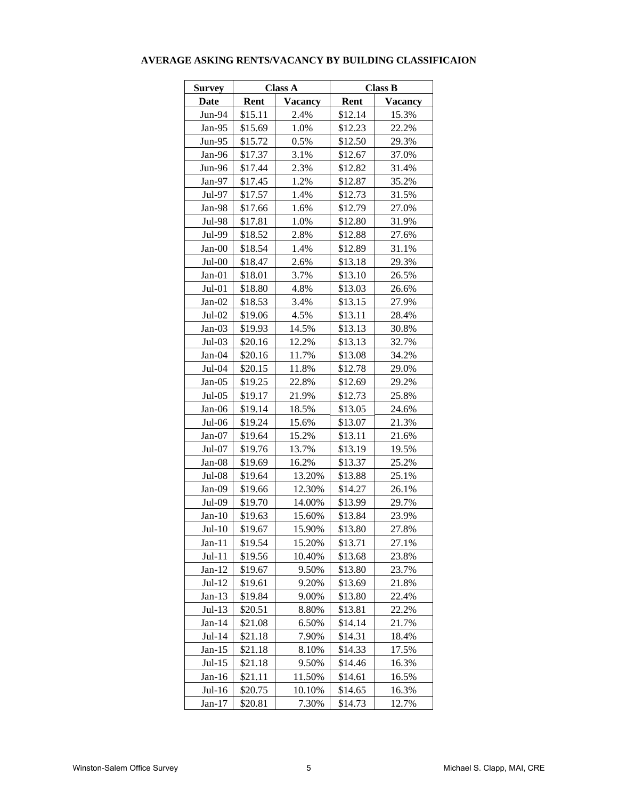| <b>Survey</b> |         | <b>Class A</b> | <b>Class B</b>         |       |  |  |  |
|---------------|---------|----------------|------------------------|-------|--|--|--|
| Date          | Rent    | <b>Vacancy</b> | Rent<br><b>Vacancy</b> |       |  |  |  |
| Jun-94        | \$15.11 | 2.4%           | \$12.14                | 15.3% |  |  |  |
| Jan-95        | \$15.69 | 1.0%           | \$12.23                | 22.2% |  |  |  |
| $Jun-95$      | \$15.72 | 0.5%           | \$12.50                | 29.3% |  |  |  |
| Jan-96        | \$17.37 | 3.1%           | \$12.67                | 37.0% |  |  |  |
| Jun-96        | \$17.44 | 2.3%           | \$12.82                | 31.4% |  |  |  |
| $Jan-97$      | \$17.45 | 1.2%           | \$12.87                | 35.2% |  |  |  |
| Jul-97        | \$17.57 | 1.4%           | \$12.73                | 31.5% |  |  |  |
| Jan-98        | \$17.66 | 1.6%           | \$12.79                | 27.0% |  |  |  |
| Jul-98        | \$17.81 | 1.0%           | \$12.80                | 31.9% |  |  |  |
| Jul-99        | \$18.52 | 2.8%           | \$12.88                | 27.6% |  |  |  |
| $Jan-00$      | \$18.54 | 1.4%           | \$12.89                | 31.1% |  |  |  |
| $Jul-00$      | \$18.47 | 2.6%           | \$13.18                | 29.3% |  |  |  |
| $Jan-01$      | \$18.01 | 3.7%           | \$13.10                | 26.5% |  |  |  |
| $Jul-01$      | \$18.80 | 4.8%           | \$13.03                | 26.6% |  |  |  |
| $Jan-02$      | \$18.53 | 3.4%           | \$13.15                | 27.9% |  |  |  |
| $Jul-02$      | \$19.06 | 4.5%           | \$13.11                | 28.4% |  |  |  |
| $Jan-03$      | \$19.93 | 14.5%          | \$13.13                | 30.8% |  |  |  |
| $Jul-03$      | \$20.16 | 12.2%          | \$13.13                | 32.7% |  |  |  |
| $Jan-04$      | \$20.16 | 11.7%          | \$13.08                | 34.2% |  |  |  |
| Jul-04        | \$20.15 | 11.8%          | \$12.78                | 29.0% |  |  |  |
| Jan-05        | \$19.25 | 22.8%          | \$12.69                | 29.2% |  |  |  |
| $Jul-05$      | \$19.17 | 21.9%          | \$12.73                | 25.8% |  |  |  |
| Jan-06        | \$19.14 | 18.5%          | \$13.05                | 24.6% |  |  |  |
| $Jul-06$      | \$19.24 | 15.6%          | \$13.07                | 21.3% |  |  |  |
| $Jan-07$      | \$19.64 | 15.2%          | \$13.11                | 21.6% |  |  |  |
| $Jul-07$      | \$19.76 | 13.7%          | \$13.19                | 19.5% |  |  |  |
| Jan-08        | \$19.69 | 16.2%          | \$13.37                | 25.2% |  |  |  |
| Jul-08        | \$19.64 | 13.20%         | \$13.88                | 25.1% |  |  |  |
| $Jan-09$      | \$19.66 | 12.30%         | \$14.27                | 26.1% |  |  |  |
| Jul-09        | \$19.70 | 14.00%         | \$13.99                | 29.7% |  |  |  |
| $Jan-10$      | \$19.63 | 15.60%         | \$13.84                | 23.9% |  |  |  |
| $Jul-10$      | \$19.67 | 15.90%         | \$13.80                | 27.8% |  |  |  |
| $Jan-11$      | \$19.54 | 15.20%         | \$13.71                | 27.1% |  |  |  |
| $Jul-11$      | \$19.56 | 10.40%         | \$13.68                | 23.8% |  |  |  |
| $Jan-12$      | \$19.67 | 9.50%          | \$13.80                | 23.7% |  |  |  |
| $Jul-12$      | \$19.61 | 9.20%          | \$13.69                | 21.8% |  |  |  |
| $Jan-13$      | \$19.84 | 9.00%          | \$13.80                | 22.4% |  |  |  |
| $Jul-13$      | \$20.51 | 8.80%          | \$13.81                | 22.2% |  |  |  |
| $Jan-14$      | \$21.08 | 6.50%          | \$14.14                | 21.7% |  |  |  |
| Jul-14        | \$21.18 | 7.90%          | \$14.31                | 18.4% |  |  |  |
| $Jan-15$      | \$21.18 | 8.10%          | \$14.33                | 17.5% |  |  |  |
| $Jul-15$      | \$21.18 | 9.50%          | \$14.46                | 16.3% |  |  |  |
| $Jan-16$      | \$21.11 | 11.50%         | \$14.61                | 16.5% |  |  |  |
| $Jul-16$      | \$20.75 | 10.10%         | \$14.65                | 16.3% |  |  |  |
| $Jan-17$      | \$20.81 | 7.30%          | \$14.73                | 12.7% |  |  |  |

#### **AVERAGE ASKING RENTS/VACANCY BY BUILDING CLASSIFICAION**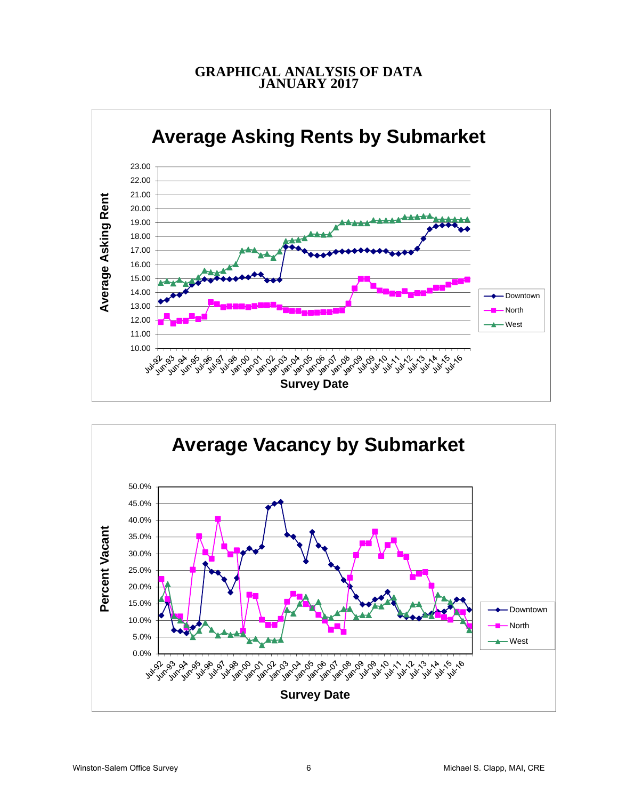# **GRAPHICAL ANALYSIS OF DATA JANUARY 2017**



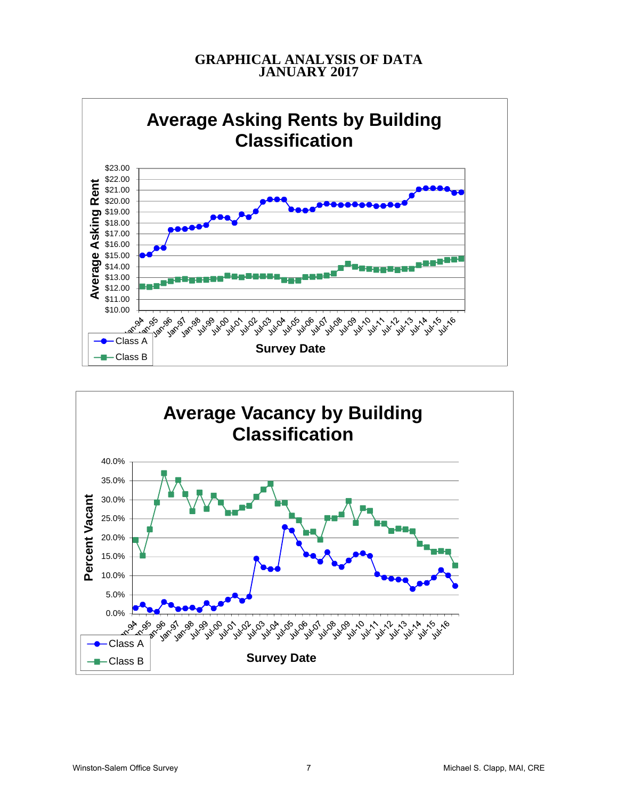# **GRAPHICAL ANALYSIS OF DATA JANUARY 2017**



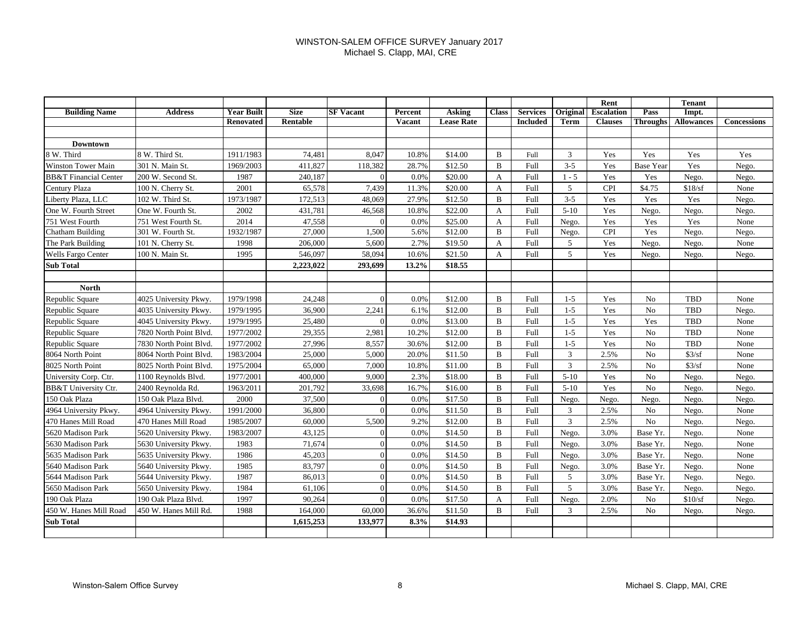#### WINSTON-SALEM OFFICE SURVEY January 2017 Michael S. Clapp, MAI, CRE

|                                  |                        |                   |             |                  |         |                   |              |                 |                | Rent              |                  | <b>Tenant</b>     |             |
|----------------------------------|------------------------|-------------------|-------------|------------------|---------|-------------------|--------------|-----------------|----------------|-------------------|------------------|-------------------|-------------|
| <b>Building Name</b>             | <b>Address</b>         | <b>Year Built</b> | <b>Size</b> | <b>SF Vacant</b> | Percent | <b>Asking</b>     | <b>Class</b> | <b>Services</b> | Original       | <b>Escalation</b> | Pass             | Impt.             |             |
|                                  |                        | Renovated         | Rentable    |                  | Vacant  | <b>Lease Rate</b> |              | <b>Included</b> | <b>Term</b>    | <b>Clauses</b>    | <b>Throughs</b>  | <b>Allowances</b> | Concessions |
|                                  |                        |                   |             |                  |         |                   |              |                 |                |                   |                  |                   |             |
| Downtown                         |                        |                   |             |                  |         |                   |              |                 |                |                   |                  |                   |             |
| 8 W. Third                       | 8 W. Third St.         | 1911/1983         | 74,481      | 8,047            | 10.8%   | \$14.00           | B            | Full            | 3              | Yes               | Yes              | Yes               | Yes         |
| <b>Winston Tower Main</b>        | 301 N. Main St.        | 1969/2003         | 411,827     | 118,382          | 28.7%   | \$12.50           | B            | Full            | $3 - 5$        | Yes               | <b>Base Year</b> | Yes               | Nego.       |
| <b>BB&amp;T</b> Financial Center | 200 W. Second St.      | 1987              | 240,187     | $\Omega$         | 0.0%    | \$20.00           | A            | Full            | $1 - 5$        | Yes               | Yes              | Nego.             | Nego.       |
| Century Plaza                    | 100 N. Cherry St.      | 2001              | 65,578      | 7,439            | 11.3%   | \$20.00           | A            | Full            | 5              | <b>CPI</b>        | \$4.75           | \$18/sf           | None        |
| Liberty Plaza, LLC               | 102 W. Third St.       | 1973/1987         | 172,513     | 48,069           | 27.9%   | \$12.50           | B            | Full            | $3 - 5$        | Yes               | Yes              | Yes               | Nego.       |
| One W. Fourth Street             | One W. Fourth St.      | 2002              | 431,781     | 46,568           | 10.8%   | \$22.00           | A            | Full            | $5-10$         | Yes               | Nego.            | Nego.             | Nego.       |
| 751 West Fourth                  | 751 West Fourth St.    | 2014              | 47,558      | $\Omega$         | 0.0%    | \$25.00           | A            | Full            | Nego.          | Yes               | Yes              | Yes               | None        |
| Chatham Building                 | 301 W. Fourth St.      | 1932/1987         | 27,000      | 1,500            | 5.6%    | \$12.00           | B            | Full            | Nego.          | <b>CPI</b>        | Yes              | Nego.             | Nego.       |
| The Park Building                | 101 N. Cherry St.      | 1998              | 206,000     | 5,600            | 2.7%    | \$19.50           | A            | Full            | 5              | Yes               | Nego.            | Nego.             | None        |
| <b>Wells Fargo Center</b>        | 100 N. Main St.        | 1995              | 546,097     | 58,094           | 10.6%   | \$21.50           | A            | Full            | 5              | Yes               | Nego.            | Nego.             | Nego.       |
| <b>Sub Total</b>                 |                        |                   | 2,223,022   | 293,699          | 13.2%   | \$18.55           |              |                 |                |                   |                  |                   |             |
|                                  |                        |                   |             |                  |         |                   |              |                 |                |                   |                  |                   |             |
| <b>North</b>                     |                        |                   |             |                  |         |                   |              |                 |                |                   |                  |                   |             |
| Republic Square                  | 4025 University Pkwy.  | 1979/1998         | 24,248      | $\sqrt{ }$       | 0.0%    | \$12.00           | B            | Full            | $1 - 5$        | Yes               | N <sub>0</sub>   | TBD               | None        |
| Republic Square                  | 4035 University Pkwy.  | 1979/1995         | 36,900      | 2.241            | 6.1%    | \$12.00           | B            | Full            | $1 - 5$        | Yes               | N <sub>0</sub>   | TBD               | Nego.       |
| Republic Square                  | 4045 University Pkwy.  | 1979/1995         | 25,480      | $\Omega$         | 0.0%    | \$13.00           | B            | Full            | $1-5$          | Yes               | Yes              | TBD               | None        |
| Republic Square                  | 7820 North Point Blvd. | 1977/2002         | 29,355      | 2,981            | 10.2%   | \$12.00           | B            | Full            | $1 - 5$        | Yes               | N <sub>0</sub>   | TBD               | None        |
| Republic Square                  | 7830 North Point Blvd. | 1977/2002         | 27,996      | 8,557            | 30.6%   | \$12.00           | B            | Full            | $1 - 5$        | Yes               | N <sub>0</sub>   | TBD               | None        |
| 8064 North Point                 | 8064 North Point Blvd. | 1983/2004         | 25,000      | 5,000            | 20.0%   | \$11.50           | B            | Full            | 3              | 2.5%              | N <sub>0</sub>   | \$3/sf            | None        |
| 8025 North Point                 | 8025 North Point Blvd. | 1975/2004         | 65,000      | 7,000            | 10.8%   | \$11.00           | B            | Full            | 3              | 2.5%              | N <sub>0</sub>   | \$3/sf            | None        |
| University Corp. Ctr.            | 1100 Reynolds Blvd.    | 1977/2001         | 400,000     | 9,000            | 2.3%    | \$18.00           | B            | Full            | $5 - 10$       | Yes               | No               | Nego.             | Nego.       |
| BB&T University Ctr.             | 2400 Reynolda Rd.      | 1963/2011         | 201,792     | 33,698           | 16.7%   | \$16.00           | B            | Full            | $5 - 10$       | Yes               | N <sub>o</sub>   | Nego.             | Nego.       |
| 150 Oak Plaza                    | 150 Oak Plaza Blvd.    | 2000              | 37,500      | $\Omega$         | 0.0%    | \$17.50           | B            | Full            | Nego.          | Nego.             | Nego.            | Nego.             | Nego.       |
| 4964 University Pkwy.            | 4964 University Pkwy.  | 1991/2000         | 36,800      | $\sqrt{ }$       | 0.0%    | \$11.50           | B            | Full            | 3              | 2.5%              | No               | Nego.             | None        |
| 470 Hanes Mill Road              | 470 Hanes Mill Road    | 1985/2007         | 60,000      | 5,500            | 9.2%    | \$12.00           | B            | Full            | $\overline{3}$ | 2.5%              | N <sub>o</sub>   | Nego.             | Nego.       |
| 5620 Madison Park                | 5620 University Pkwy   | 1983/2007         | 43,125      | $\sqrt{ }$       | 0.0%    | \$14.50           | B            | Full            | Nego.          | 3.0%              | Base Yr.         | Nego.             | None        |
| 5630 Madison Park                | 5630 University Pkwy.  | 1983              | 71,674      | $\Omega$         | 0.0%    | \$14.50           | B            | Full            | Nego.          | 3.0%              | Base Yr.         | Nego.             | None        |
| 5635 Madison Park                | 5635 University Pkwy.  | 1986              | 45,203      | $\Omega$         | 0.0%    | \$14.50           | B            | Full            | Nego.          | 3.0%              | Base Yr.         | Nego.             | None        |
| 5640 Madison Park                | 5640 University Pkwy.  | 1985              | 83,797      | $\Omega$         | 0.0%    | \$14.50           | B            | Full            | Nego.          | 3.0%              | Base Yr.         | Nego.             | None        |
| 5644 Madison Park                | 5644 University Pkwy.  | 1987              | 86,013      | $\Omega$         | 0.0%    | \$14.50           | B            | Full            | 5              | 3.0%              | Base Yr.         | Nego.             | Nego.       |
| 5650 Madison Park                | 5650 University Pkwy.  | 1984              | 61,106      | $\Omega$         | 0.0%    | \$14.50           | B            | Full            | 5              | 3.0%              | Base Yr.         | Nego.             | Nego.       |
| 190 Oak Plaza                    | 190 Oak Plaza Blvd.    | 1997              | 90,264      |                  | 0.0%    | \$17.50           | A            | Full            | Nego.          | 2.0%              | N <sub>o</sub>   | \$10/sf           | Nego.       |
| 450 W. Hanes Mill Road           | 450 W. Hanes Mill Rd.  | 1988              | 164,000     | 60,000           | 36.6%   | \$11.50           | B            | Full            | 3              | 2.5%              | N <sub>0</sub>   | Nego.             | Nego.       |
| <b>Sub Total</b>                 |                        |                   | 1,615,253   | 133,977          | 8.3%    | \$14.93           |              |                 |                |                   |                  |                   |             |
|                                  |                        |                   |             |                  |         |                   |              |                 |                |                   |                  |                   |             |